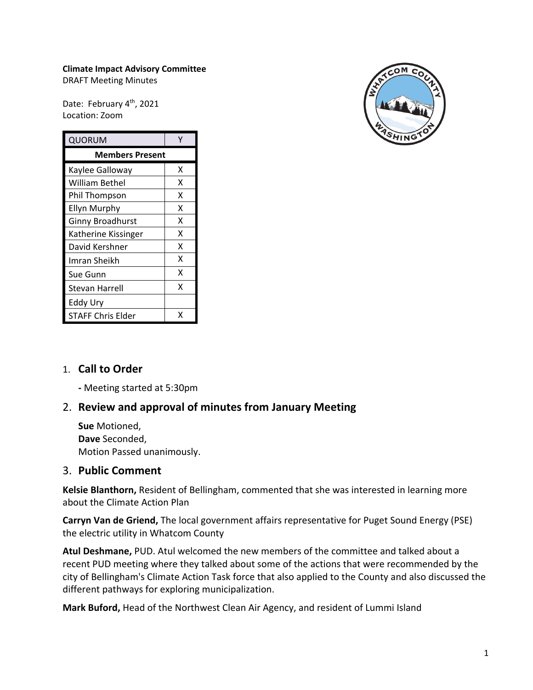#### **Climate Impact Advisory Committee**

DRAFT Meeting Minutes

Date: February 4<sup>th</sup>, 2021 Location: Zoom

| QUORUM                   | γ |
|--------------------------|---|
| <b>Members Present</b>   |   |
| Kaylee Galloway          | x |
| <b>William Bethel</b>    | X |
| Phil Thompson            | x |
| <b>Ellyn Murphy</b>      | X |
| <b>Ginny Broadhurst</b>  | x |
| Katherine Kissinger      | x |
| David Kershner           | x |
| Imran Sheikh             | x |
| Sue Gunn                 | x |
| <b>Stevan Harrell</b>    | X |
| Eddy Ury                 |   |
| <b>STAFF Chris Elder</b> | x |



### 1. **Call to Order**

**-** Meeting started at 5:30pm

### 2. **Review and approval of minutes from January Meeting**

**Sue** Motioned, **Dave** Seconded, Motion Passed unanimously.

#### 3. **Public Comment**

**Kelsie Blanthorn,** Resident of Bellingham, commented that she was interested in learning more about the Climate Action Plan

**Carryn Van de Griend,** The local government affairs representative for Puget Sound Energy (PSE) the electric utility in Whatcom County

**Atul Deshmane,** PUD. Atul welcomed the new members of the committee and talked about a recent PUD meeting where they talked about some of the actions that were recommended by the city of Bellingham's Climate Action Task force that also applied to the County and also discussed the different pathways for exploring municipalization.

**Mark Buford,** Head of the Northwest Clean Air Agency, and resident of Lummi Island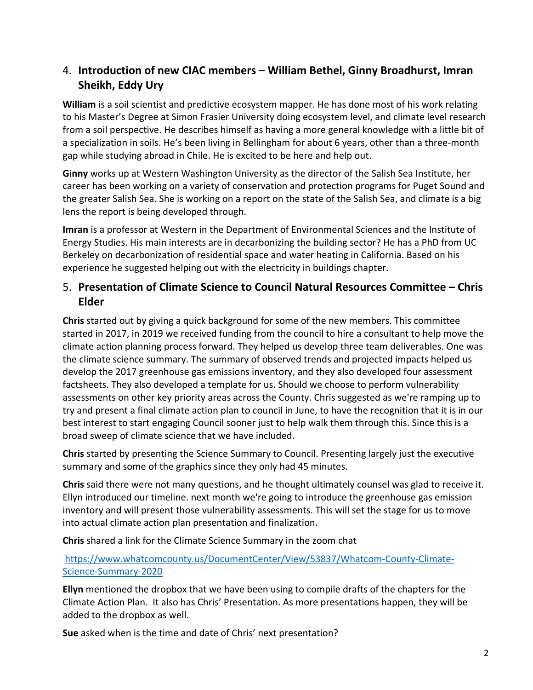# 4. **Introduction of new CIAC members – William Bethel, Ginny Broadhurst, Imran Sheikh, Eddy Ury**

**William** is a soil scientist and predictive ecosystem mapper. He has done most of his work relating to his Master's Degree at Simon Frasier University doing ecosystem level, and climate level research from a soil perspective. He describes himself as having a more general knowledge with a little bit of a specialization in soils. He's been living in Bellingham for about 6 years, other than a three-month gap while studying abroad in Chile. He is excited to be here and help out.

**Ginny** works up at Western Washington University as the director of the Salish Sea Institute, her career has been working on a variety of conservation and protection programs for Puget Sound and the greater Salish Sea. She is working on a report on the state of the Salish Sea, and climate is a big lens the report is being developed through.

**Imran** is a professor at Western in the Department of Environmental Sciences and the Institute of Energy Studies. His main interests are in decarbonizing the building sector? He has a PhD from UC Berkeley on decarbonization of residential space and water heating in California. Based on his experience he suggested helping out with the electricity in buildings chapter.

# 5. **Presentation of Climate Science to Council Natural Resources Committee – Chris Elder**

**Chris** started out by giving a quick background for some of the new members. This committee started in 2017, in 2019 we received funding from the council to hire a consultant to help move the climate action planning process forward. They helped us develop three team deliverables. One was the climate science summary. The summary of observed trends and projected impacts helped us develop the 2017 greenhouse gas emissions inventory, and they also developed four assessment factsheets. They also developed a template for us. Should we choose to perform vulnerability assessments on other key priority areas across the County. Chris suggested as we're ramping up to try and present a final climate action plan to council in June, to have the recognition that it is in our best interest to start engaging Council sooner just to help walk them through this. Since this is a broad sweep of climate science that we have included.

**Chris** started by presenting the Science Summary to Council. Presenting largely just the executive summary and some of the graphics since they only had 45 minutes.

**Chris** said there were not many questions, and he thought ultimately counsel was glad to receive it. Ellyn introduced our timeline. next month we're going to introduce the greenhouse gas emission inventory and will present those vulnerability assessments. This will set the stage for us to move into actual climate action plan presentation and finalization.

**Chris** shared a link for the Climate Science Summary in the zoom chat

## [https://www.whatcomcounty.us/DocumentCenter/View/53837/Whatcom-County-Climate-](https://www.whatcomcounty.us/DocumentCenter/View/53837/Whatcom-County-Climate-Science-Summary-2020)[Science-Summary-2020](https://www.whatcomcounty.us/DocumentCenter/View/53837/Whatcom-County-Climate-Science-Summary-2020)

**Ellyn** mentioned the dropbox that we have been using to compile drafts of the chapters for the Climate Action Plan. It also has Chris' Presentation. As more presentations happen, they will be added to the dropbox as well.

**Sue** asked when is the time and date of Chris' next presentation?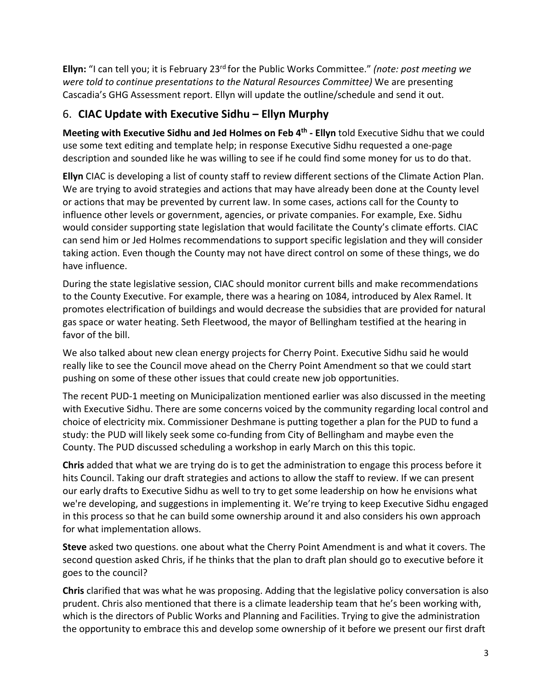**Ellyn:** "I can tell you; it is February 23rd for the Public Works Committee." *(note: post meeting we were told to continue presentations to the Natural Resources Committee)* We are presenting Cascadia's GHG Assessment report. Ellyn will update the outline/schedule and send it out.

# 6. **CIAC Update with Executive Sidhu – Ellyn Murphy**

**Meeting with Executive Sidhu and Jed Holmes on Feb 4th - Ellyn** told Executive Sidhu that we could use some text editing and template help; in response Executive Sidhu requested a one-page description and sounded like he was willing to see if he could find some money for us to do that.

**Ellyn** CIAC is developing a list of county staff to review different sections of the Climate Action Plan. We are trying to avoid strategies and actions that may have already been done at the County level or actions that may be prevented by current law. In some cases, actions call for the County to influence other levels or government, agencies, or private companies. For example, Exe. Sidhu would consider supporting state legislation that would facilitate the County's climate efforts. CIAC can send him or Jed Holmes recommendations to support specific legislation and they will consider taking action. Even though the County may not have direct control on some of these things, we do have influence.

During the state legislative session, CIAC should monitor current bills and make recommendations to the County Executive. For example, there was a hearing on 1084, introduced by Alex Ramel. It promotes electrification of buildings and would decrease the subsidies that are provided for natural gas space or water heating. Seth Fleetwood, the mayor of Bellingham testified at the hearing in favor of the bill.

We also talked about new clean energy projects for Cherry Point. Executive Sidhu said he would really like to see the Council move ahead on the Cherry Point Amendment so that we could start pushing on some of these other issues that could create new job opportunities.

The recent PUD-1 meeting on Municipalization mentioned earlier was also discussed in the meeting with Executive Sidhu. There are some concerns voiced by the community regarding local control and choice of electricity mix. Commissioner Deshmane is putting together a plan for the PUD to fund a study: the PUD will likely seek some co-funding from City of Bellingham and maybe even the County. The PUD discussed scheduling a workshop in early March on this this topic.

**Chris** added that what we are trying do is to get the administration to engage this process before it hits Council. Taking our draft strategies and actions to allow the staff to review. If we can present our early drafts to Executive Sidhu as well to try to get some leadership on how he envisions what we're developing, and suggestions in implementing it. We're trying to keep Executive Sidhu engaged in this process so that he can build some ownership around it and also considers his own approach for what implementation allows.

**Steve** asked two questions. one about what the Cherry Point Amendment is and what it covers. The second question asked Chris, if he thinks that the plan to draft plan should go to executive before it goes to the council?

**Chris** clarified that was what he was proposing. Adding that the legislative policy conversation is also prudent. Chris also mentioned that there is a climate leadership team that he's been working with, which is the directors of Public Works and Planning and Facilities. Trying to give the administration the opportunity to embrace this and develop some ownership of it before we present our first draft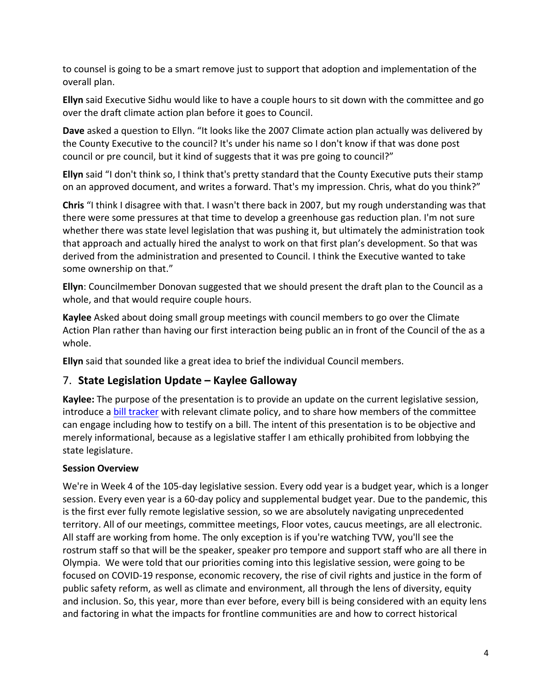to counsel is going to be a smart remove just to support that adoption and implementation of the overall plan.

**Ellyn** said Executive Sidhu would like to have a couple hours to sit down with the committee and go over the draft climate action plan before it goes to Council.

**Dave** asked a question to Ellyn. "It looks like the 2007 Climate action plan actually was delivered by the County Executive to the council? It's under his name so I don't know if that was done post council or pre council, but it kind of suggests that it was pre going to council?"

**Ellyn** said "I don't think so, I think that's pretty standard that the County Executive puts their stamp on an approved document, and writes a forward. That's my impression. Chris, what do you think?"

**Chris** "I think I disagree with that. I wasn't there back in 2007, but my rough understanding was that there were some pressures at that time to develop a greenhouse gas reduction plan. I'm not sure whether there was state level legislation that was pushing it, but ultimately the administration took that approach and actually hired the analyst to work on that first plan's development. So that was derived from the administration and presented to Council. I think the Executive wanted to take some ownership on that."

**Ellyn**: Councilmember Donovan suggested that we should present the draft plan to the Council as a whole, and that would require couple hours.

**Kaylee** Asked about doing small group meetings with council members to go over the Climate Action Plan rather than having our first interaction being public an in front of the Council of the as a whole.

**Ellyn** said that sounded like a great idea to brief the individual Council members.

# 7. **State Legislation Update – Kaylee Galloway**

**Kaylee:** The purpose of the presentation is to provide an update on the current legislative session, introduce a **bill tracker** with relevant climate policy, and to share how members of the committee can engage including how to testify on a bill. The intent of this presentation is to be objective and merely informational, because as a legislative staffer I am ethically prohibited from lobbying the state legislature.

#### **Session Overview**

We're in Week 4 of the 105-day legislative session. Every odd year is a budget year, which is a longer session. Every even year is a 60-day policy and supplemental budget year. Due to the pandemic, this is the first ever fully remote legislative session, so we are absolutely navigating unprecedented territory. All of our meetings, committee meetings, Floor votes, caucus meetings, are all electronic. All staff are working from home. The only exception is if you're watching TVW, you'll see the rostrum staff so that will be the speaker, speaker pro tempore and support staff who are all there in Olympia. We were told that our priorities coming into this legislative session, were going to be focused on COVID-19 response, economic recovery, the rise of civil rights and justice in the form of public safety reform, as well as climate and environment, all through the lens of diversity, equity and inclusion. So, this year, more than ever before, every bill is being considered with an equity lens and factoring in what the impacts for frontline communities are and how to correct historical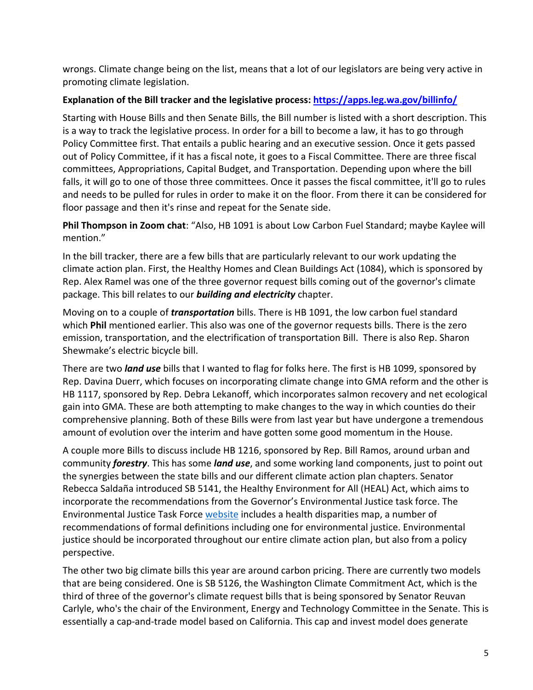wrongs. Climate change being on the list, means that a lot of our legislators are being very active in promoting climate legislation.

### **Explanation of the Bill tracker and the legislative process:<https://apps.leg.wa.gov/billinfo/>**

Starting with House Bills and then Senate Bills, the Bill number is listed with a short description. This is a way to track the legislative process. In order for a bill to become a law, it has to go through Policy Committee first. That entails a public hearing and an executive session. Once it gets passed out of Policy Committee, if it has a fiscal note, it goes to a Fiscal Committee. There are three fiscal committees, Appropriations, Capital Budget, and Transportation. Depending upon where the bill falls, it will go to one of those three committees. Once it passes the fiscal committee, it'll go to rules and needs to be pulled for rules in order to make it on the floor. From there it can be considered for floor passage and then it's rinse and repeat for the Senate side.

**Phil Thompson in Zoom chat**: "Also, HB 1091 is about Low Carbon Fuel Standard; maybe Kaylee will mention."

In the bill tracker, there are a few bills that are particularly relevant to our work updating the climate action plan. First, the Healthy Homes and Clean Buildings Act (1084), which is sponsored by Rep. Alex Ramel was one of the three governor request bills coming out of the governor's climate package. This bill relates to our *building and electricity* chapter.

Moving on to a couple of *transportation* bills. There is HB 1091, the low carbon fuel standard which **Phil** mentioned earlier. This also was one of the governor requests bills. There is the zero emission, transportation, and the electrification of transportation Bill. There is also Rep. Sharon Shewmake's electric bicycle bill.

There are two *land use* bills that I wanted to flag for folks here. The first is HB 1099, sponsored by Rep. Davina Duerr, which focuses on incorporating climate change into GMA reform and the other is HB 1117, sponsored by Rep. Debra Lekanoff, which incorporates salmon recovery and net ecological gain into GMA. These are both attempting to make changes to the way in which counties do their comprehensive planning. Both of these Bills were from last year but have undergone a tremendous amount of evolution over the interim and have gotten some good momentum in the House.

A couple more Bills to discuss include HB 1216, sponsored by Rep. Bill Ramos, around urban and community *forestry*. This has some *land use*, and some working land components, just to point out the synergies between the state bills and our different climate action plan chapters. Senator Rebecca Saldaña introduced SB 5141, the Healthy Environment for All (HEAL) Act, which aims to incorporate the recommendations from the Governor's Environmental Justice task force. The Environmental Justice Task Force [website](https://healthequity.wa.gov/TheCouncilsWork/EnvironmentalJusticeTaskForceInformation) includes a health disparities map, a number of recommendations of formal definitions including one for environmental justice. Environmental justice should be incorporated throughout our entire climate action plan, but also from a policy perspective.

The other two big climate bills this year are around carbon pricing. There are currently two models that are being considered. One is SB 5126, the Washington Climate Commitment Act, which is the third of three of the governor's climate request bills that is being sponsored by Senator Reuvan Carlyle, who's the chair of the Environment, Energy and Technology Committee in the Senate. This is essentially a cap-and-trade model based on California. This cap and invest model does generate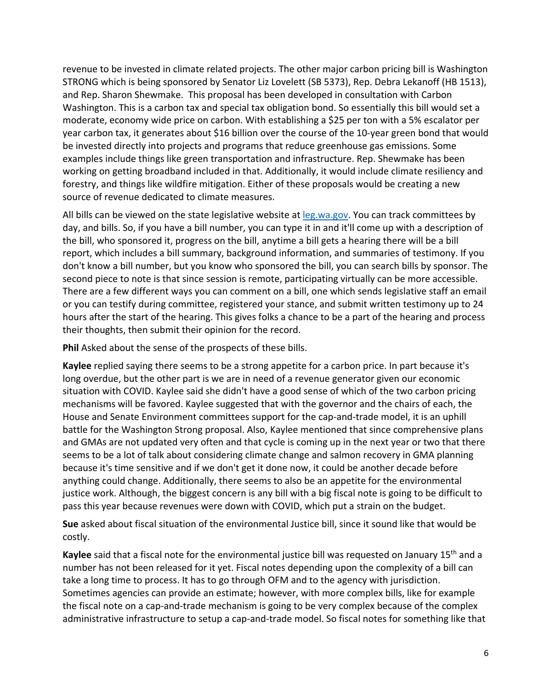revenue to be invested in climate related projects. The other major carbon pricing bill is Washington STRONG which is being sponsored by Senator Liz Lovelett (SB 5373), Rep. Debra Lekanoff (HB 1513), and Rep. Sharon Shewmake. This proposal has been developed in consultation with Carbon Washington. This is a carbon tax and special tax obligation bond. So essentially this bill would set a moderate, economy wide price on carbon. With establishing a \$25 per ton with a 5% escalator per year carbon tax, it generates about \$16 billion over the course of the 10-year green bond that would be invested directly into projects and programs that reduce greenhouse gas emissions. Some examples include things like green transportation and infrastructure. Rep. Shewmake has been working on getting broadband included in that. Additionally, it would include climate resiliency and forestry, and things like wildfire mitigation. Either of these proposals would be creating a new source of revenue dedicated to climate measures.

All bills can be viewed on the state legislative website at [leg.wa.gov.](http://leg.wa.gov/) You can track committees by day, and bills. So, if you have a bill number, you can type it in and it'll come up with a description of the bill, who sponsored it, progress on the bill, anytime a bill gets a hearing there will be a bill report, which includes a bill summary, background information, and summaries of testimony. If you don't know a bill number, but you know who sponsored the bill, you can search bills by sponsor. The second piece to note is that since session is remote, participating virtually can be more accessible. There are a few different ways you can comment on a bill, one which sends legislative staff an email or you can testify during committee, registered your stance, and submit written testimony up to 24 hours after the start of the hearing. This gives folks a chance to be a part of the hearing and process their thoughts, then submit their opinion for the record.

**Phil** Asked about the sense of the prospects of these bills.

**Kaylee** replied saying there seems to be a strong appetite for a carbon price. In part because it's long overdue, but the other part is we are in need of a revenue generator given our economic situation with COVID. Kaylee said she didn't have a good sense of which of the two carbon pricing mechanisms will be favored. Kaylee suggested that with the governor and the chairs of each, the House and Senate Environment committees support for the cap-and-trade model, it is an uphill battle for the Washington Strong proposal. Also, Kaylee mentioned that since comprehensive plans and GMAs are not updated very often and that cycle is coming up in the next year or two that there seems to be a lot of talk about considering climate change and salmon recovery in GMA planning because it's time sensitive and if we don't get it done now, it could be another decade before anything could change. Additionally, there seems to also be an appetite for the environmental justice work. Although, the biggest concern is any bill with a big fiscal note is going to be difficult to pass this year because revenues were down with COVID, which put a strain on the budget.

**Sue** asked about fiscal situation of the environmental Justice bill, since it sound like that would be costly.

**Kaylee** said that a fiscal note for the environmental justice bill was requested on January 15th and a number has not been released for it yet. Fiscal notes depending upon the complexity of a bill can take a long time to process. It has to go through OFM and to the agency with jurisdiction. Sometimes agencies can provide an estimate; however, with more complex bills, like for example the fiscal note on a cap-and-trade mechanism is going to be very complex because of the complex administrative infrastructure to setup a cap-and-trade model. So fiscal notes for something like that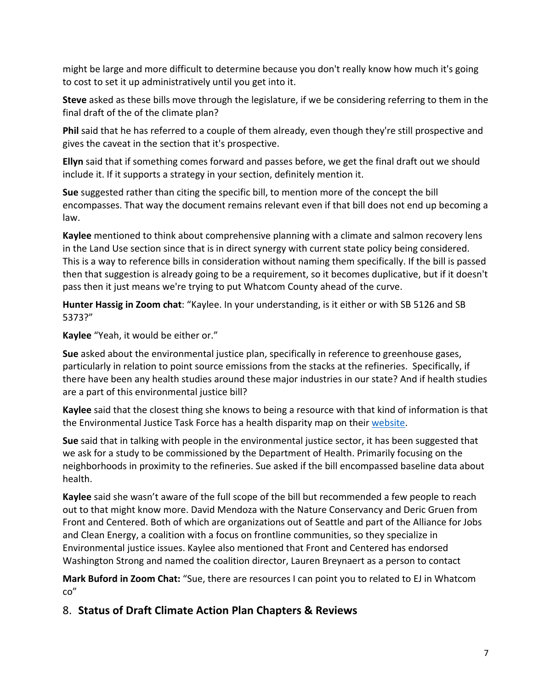might be large and more difficult to determine because you don't really know how much it's going to cost to set it up administratively until you get into it.

**Steve** asked as these bills move through the legislature, if we be considering referring to them in the final draft of the of the climate plan?

**Phil** said that he has referred to a couple of them already, even though they're still prospective and gives the caveat in the section that it's prospective.

**Ellyn** said that if something comes forward and passes before, we get the final draft out we should include it. If it supports a strategy in your section, definitely mention it.

**Sue** suggested rather than citing the specific bill, to mention more of the concept the bill encompasses. That way the document remains relevant even if that bill does not end up becoming a law.

**Kaylee** mentioned to think about comprehensive planning with a climate and salmon recovery lens in the Land Use section since that is in direct synergy with current state policy being considered. This is a way to reference bills in consideration without naming them specifically. If the bill is passed then that suggestion is already going to be a requirement, so it becomes duplicative, but if it doesn't pass then it just means we're trying to put Whatcom County ahead of the curve.

**Hunter Hassig in Zoom chat**: "Kaylee. In your understanding, is it either or with SB 5126 and SB 5373?"

### **Kaylee** "Yeah, it would be either or."

**Sue** asked about the environmental justice plan, specifically in reference to greenhouse gases, particularly in relation to point source emissions from the stacks at the refineries. Specifically, if there have been any health studies around these major industries in our state? And if health studies are a part of this environmental justice bill?

**Kaylee** said that the closest thing she knows to being a resource with that kind of information is that the Environmental Justice Task Force has a health disparity map on their [website.](https://fortress.wa.gov/doh/wtnibl/WTNIBL/)

**Sue** said that in talking with people in the environmental justice sector, it has been suggested that we ask for a study to be commissioned by the Department of Health. Primarily focusing on the neighborhoods in proximity to the refineries. Sue asked if the bill encompassed baseline data about health.

**Kaylee** said she wasn't aware of the full scope of the bill but recommended a few people to reach out to that might know more. David Mendoza with the Nature Conservancy and Deric Gruen from Front and Centered. Both of which are organizations out of Seattle and part of the Alliance for Jobs and Clean Energy, a coalition with a focus on frontline communities, so they specialize in Environmental justice issues. Kaylee also mentioned that Front and Centered has endorsed Washington Strong and named the coalition director, Lauren Breynaert as a person to contact

**Mark Buford in Zoom Chat:** "Sue, there are resources I can point you to related to EJ in Whatcom co"

# 8. **Status of Draft Climate Action Plan Chapters & Reviews**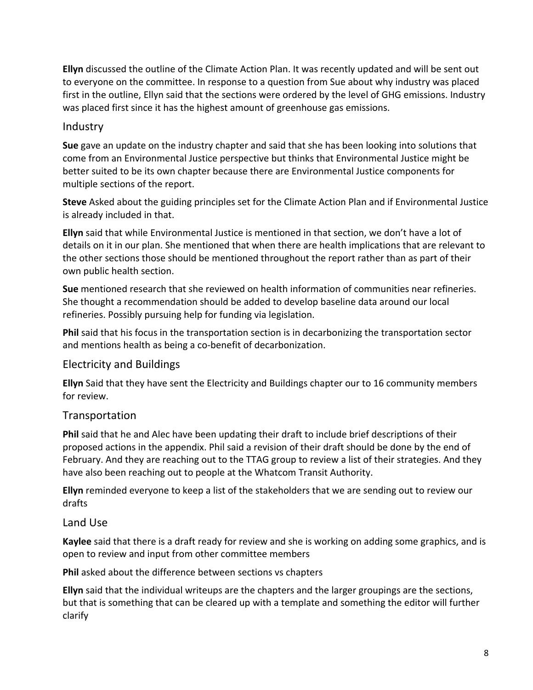**Ellyn** discussed the outline of the Climate Action Plan. It was recently updated and will be sent out to everyone on the committee. In response to a question from Sue about why industry was placed first in the outline, Ellyn said that the sections were ordered by the level of GHG emissions. Industry was placed first since it has the highest amount of greenhouse gas emissions.

### **Industry**

**Sue** gave an update on the industry chapter and said that she has been looking into solutions that come from an Environmental Justice perspective but thinks that Environmental Justice might be better suited to be its own chapter because there are Environmental Justice components for multiple sections of the report.

**Steve** Asked about the guiding principles set for the Climate Action Plan and if Environmental Justice is already included in that.

**Ellyn** said that while Environmental Justice is mentioned in that section, we don't have a lot of details on it in our plan. She mentioned that when there are health implications that are relevant to the other sections those should be mentioned throughout the report rather than as part of their own public health section.

**Sue** mentioned research that she reviewed on health information of communities near refineries. She thought a recommendation should be added to develop baseline data around our local refineries. Possibly pursuing help for funding via legislation.

**Phil** said that his focus in the transportation section is in decarbonizing the transportation sector and mentions health as being a co-benefit of decarbonization.

### Electricity and Buildings

**Ellyn** Said that they have sent the Electricity and Buildings chapter our to 16 community members for review.

### Transportation

**Phil** said that he and Alec have been updating their draft to include brief descriptions of their proposed actions in the appendix. Phil said a revision of their draft should be done by the end of February. And they are reaching out to the TTAG group to review a list of their strategies. And they have also been reaching out to people at the Whatcom Transit Authority.

**Ellyn** reminded everyone to keep a list of the stakeholders that we are sending out to review our drafts

#### Land Use

**Kaylee** said that there is a draft ready for review and she is working on adding some graphics, and is open to review and input from other committee members

**Phil** asked about the difference between sections vs chapters

**Ellyn** said that the individual writeups are the chapters and the larger groupings are the sections, but that is something that can be cleared up with a template and something the editor will further clarify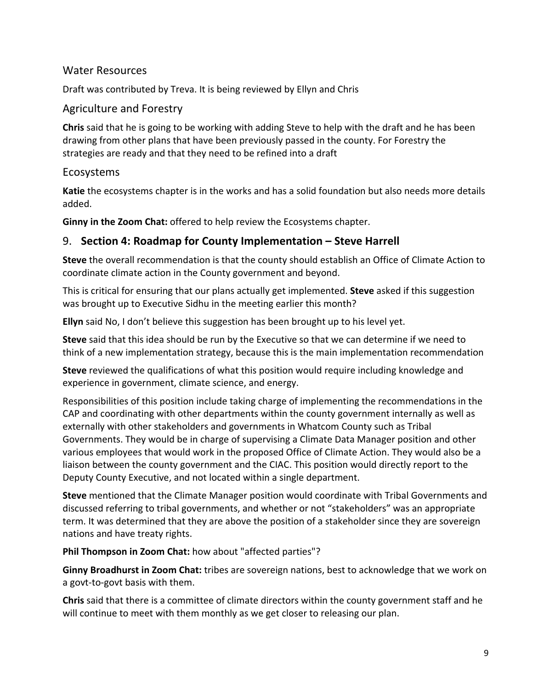### Water Resources

Draft was contributed by Treva. It is being reviewed by Ellyn and Chris

### Agriculture and Forestry

**Chris** said that he is going to be working with adding Steve to help with the draft and he has been drawing from other plans that have been previously passed in the county. For Forestry the strategies are ready and that they need to be refined into a draft

### Ecosystems

**Katie** the ecosystems chapter is in the works and has a solid foundation but also needs more details added.

**Ginny in the Zoom Chat:** offered to help review the Ecosystems chapter.

# 9. **Section 4: Roadmap for County Implementation – Steve Harrell**

**Steve** the overall recommendation is that the county should establish an Office of Climate Action to coordinate climate action in the County government and beyond.

This is critical for ensuring that our plans actually get implemented. **Steve** asked if this suggestion was brought up to Executive Sidhu in the meeting earlier this month?

**Ellyn** said No, I don't believe this suggestion has been brought up to his level yet.

**Steve** said that this idea should be run by the Executive so that we can determine if we need to think of a new implementation strategy, because this is the main implementation recommendation

**Steve** reviewed the qualifications of what this position would require including knowledge and experience in government, climate science, and energy.

Responsibilities of this position include taking charge of implementing the recommendations in the CAP and coordinating with other departments within the county government internally as well as externally with other stakeholders and governments in Whatcom County such as Tribal Governments. They would be in charge of supervising a Climate Data Manager position and other various employees that would work in the proposed Office of Climate Action. They would also be a liaison between the county government and the CIAC. This position would directly report to the Deputy County Executive, and not located within a single department.

**Steve** mentioned that the Climate Manager position would coordinate with Tribal Governments and discussed referring to tribal governments, and whether or not "stakeholders" was an appropriate term. It was determined that they are above the position of a stakeholder since they are sovereign nations and have treaty rights.

**Phil Thompson in Zoom Chat:** how about "affected parties"?

**Ginny Broadhurst in Zoom Chat:** tribes are sovereign nations, best to acknowledge that we work on a govt-to-govt basis with them.

**Chris** said that there is a committee of climate directors within the county government staff and he will continue to meet with them monthly as we get closer to releasing our plan.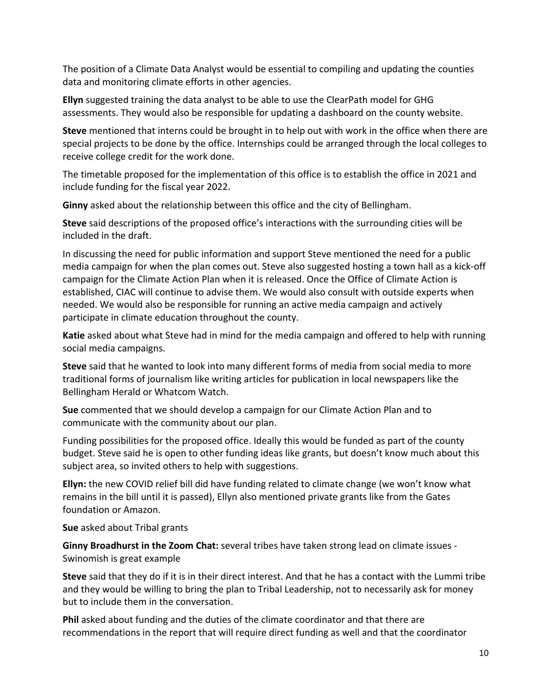The position of a Climate Data Analyst would be essential to compiling and updating the counties data and monitoring climate efforts in other agencies.

**Ellyn** suggested training the data analyst to be able to use the ClearPath model for GHG assessments. They would also be responsible for updating a dashboard on the county website.

**Steve** mentioned that interns could be brought in to help out with work in the office when there are special projects to be done by the office. Internships could be arranged through the local colleges to receive college credit for the work done.

The timetable proposed for the implementation of this office is to establish the office in 2021 and include funding for the fiscal year 2022.

**Ginny** asked about the relationship between this office and the city of Bellingham.

**Steve** said descriptions of the proposed office's interactions with the surrounding cities will be included in the draft.

In discussing the need for public information and support Steve mentioned the need for a public media campaign for when the plan comes out. Steve also suggested hosting a town hall as a kick-off campaign for the Climate Action Plan when it is released. Once the Office of Climate Action is established, CIAC will continue to advise them. We would also consult with outside experts when needed. We would also be responsible for running an active media campaign and actively participate in climate education throughout the county.

**Katie** asked about what Steve had in mind for the media campaign and offered to help with running social media campaigns.

**Steve** said that he wanted to look into many different forms of media from social media to more traditional forms of journalism like writing articles for publication in local newspapers like the Bellingham Herald or Whatcom Watch.

**Sue** commented that we should develop a campaign for our Climate Action Plan and to communicate with the community about our plan.

Funding possibilities for the proposed office. Ideally this would be funded as part of the county budget. Steve said he is open to other funding ideas like grants, but doesn't know much about this subject area, so invited others to help with suggestions.

**Ellyn:** the new COVID relief bill did have funding related to climate change (we won't know what remains in the bill until it is passed), Ellyn also mentioned private grants like from the Gates foundation or Amazon.

**Sue** asked about Tribal grants

**Ginny Broadhurst in the Zoom Chat:** several tribes have taken strong lead on climate issues - Swinomish is great example

**Steve** said that they do if it is in their direct interest. And that he has a contact with the Lummi tribe and they would be willing to bring the plan to Tribal Leadership, not to necessarily ask for money but to include them in the conversation.

**Phil** asked about funding and the duties of the climate coordinator and that there are recommendations in the report that will require direct funding as well and that the coordinator